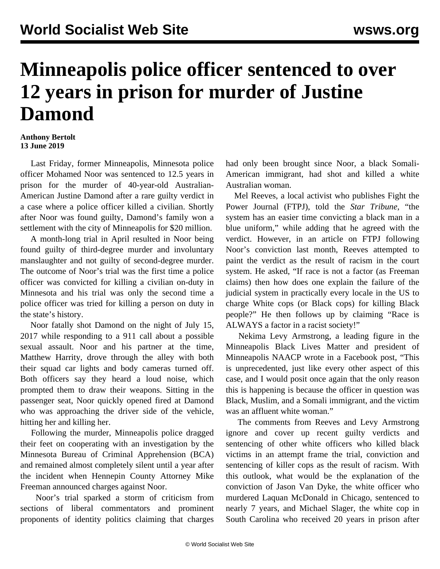## **Minneapolis police officer sentenced to over 12 years in prison for murder of Justine Damond**

## **Anthony Bertolt 13 June 2019**

 Last Friday, former Minneapolis, Minnesota police officer Mohamed Noor was sentenced to 12.5 years in prison for the murder of 40-year-old Australian-American Justine Damond after a rare guilty verdict in a case where a police officer killed a civilian. Shortly after Noor was found guilty, Damond's family won a settlement with the city of Minneapolis for \$20 million.

 A month-long trial in April resulted in Noor being found guilty of third-degree murder and involuntary manslaughter and not guilty of second-degree murder. The outcome of Noor's trial was the first time a police officer was convicted for killing a civilian on-duty in Minnesota and his trial was only the second time a police officer was tried for killing a person on duty in the state's history.

 Noor fatally shot Damond on the night of July 15, 2017 while responding to a 911 call about a possible sexual assault. Noor and his partner at the time, Matthew Harrity, drove through the alley with both their squad car lights and body cameras turned off. Both officers say they heard a loud noise, which prompted them to draw their weapons. Sitting in the passenger seat, Noor quickly opened fired at Damond who was approaching the driver side of the vehicle, hitting her and killing her.

 Following the murder, Minneapolis police dragged their feet on cooperating with an investigation by the Minnesota Bureau of Criminal Apprehension (BCA) and remained almost completely silent until a year after the incident when Hennepin County Attorney Mike Freeman announced charges against Noor.

 Noor's trial sparked a storm of criticism from sections of liberal commentators and prominent proponents of identity politics claiming that charges

had only been brought since Noor, a black Somali-American immigrant, had shot and killed a white Australian woman.

 Mel Reeves, a local activist who publishes Fight the Power Journal (FTPJ), told the *Star Tribune*, "the system has an easier time convicting a black man in a blue uniform," while adding that he agreed with the verdict. However, in an article on FTPJ following Noor's conviction last month, Reeves attempted to paint the verdict as the result of racism in the court system. He asked, "If race is not a factor (as Freeman claims) then how does one explain the failure of the judicial system in practically every locale in the US to charge White cops (or Black cops) for killing Black people?" He then follows up by claiming "Race is ALWAYS a factor in a racist society!"

 Nekima Levy Armstrong, a leading figure in the Minneapolis Black Lives Matter and president of Minneapolis NAACP wrote in a Facebook post, "This is unprecedented, just like every other aspect of this case, and I would posit once again that the only reason this is happening is because the officer in question was Black, Muslim, and a Somali immigrant, and the victim was an affluent white woman."

 The comments from Reeves and Levy Armstrong ignore and cover up recent guilty verdicts and sentencing of other white officers who killed black victims in an attempt frame the trial, conviction and sentencing of killer cops as the result of racism. With this outlook, what would be the explanation of the conviction of Jason Van Dyke, the white officer who murdered Laquan McDonald in Chicago, sentenced to nearly 7 years, and Michael Slager, the white cop in South Carolina who received 20 years in prison after